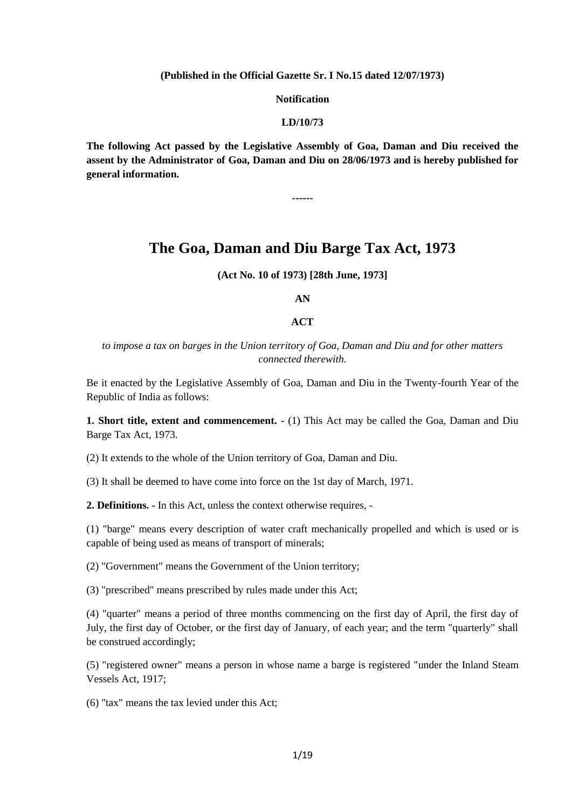**(Published in the Official Gazette Sr. I No.15 dated 12/07/1973)**

**Notification**

#### **LD/10/73**

**The following Act passed by the Legislative Assembly of Goa, Daman and Diu received the assent by the Administrator of Goa, Daman and Diu on 28/06/1973 and is hereby published for general information.** 

**------**

## **The Goa, Daman and Diu Barge Tax Act, 1973**

**(Act No. 10 of 1973) [28th June, 1973]**

#### **AN**

#### **ACT**

*to impose a tax on barges in the Union territory of Goa, Daman and Diu and for other matters connected therewith.*

Be it enacted by the Legislative Assembly of Goa, Daman and Diu in the Twenty-fourth Year of the Republic of India as follows:

**1. Short title, extent and commencement. -** (1) This Act may be called the Goa, Daman and Diu Barge Tax Act, 1973.

(2) It extends to the whole of the Union territory of Goa, Daman and Diu.

(3) It shall be deemed to have come into force on the 1st day of March, 1971.

**2. Definitions. -** In this Act, unless the context otherwise requires, -

(1) "barge" means every description of water craft mechanically propelled and which is used or is capable of being used as means of transport of minerals;

(2) "Government" means the Government of the Union territory;

(3) "prescribed" means prescribed by rules made under this Act;

(4) "quarter" means a period of three months commencing on the first day of April, the first day of July, the first day of October, or the first day of January, of each year; and the term "quarterly" shall be construed accordingly;

(5) "registered owner" means a person in whose name a barge is registered "under the Inland Steam Vessels Act, 1917;

(6) "tax" means the tax levied under this Act;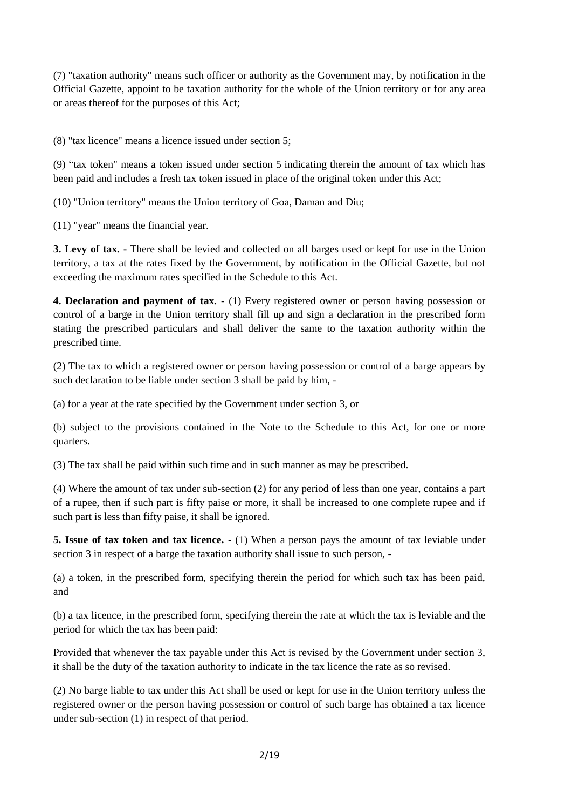(7) "taxation authority" means such officer or authority as the Government may, by notification in the Official Gazette, appoint to be taxation authority for the whole of the Union territory or for any area or areas thereof for the purposes of this Act;

(8) "tax licence" means a licence issued under section 5;

(9) "tax token" means a token issued under section 5 indicating therein the amount of tax which has been paid and includes a fresh tax token issued in place of the original token under this Act;

(10) "Union territory" means the Union territory of Goa, Daman and Diu;

(11) "year" means the financial year.

**3. Levy of tax. -** There shall be levied and collected on all barges used or kept for use in the Union territory, a tax at the rates fixed by the Government, by notification in the Official Gazette, but not exceeding the maximum rates specified in the Schedule to this Act.

**4. Declaration and payment of tax. -** (1) Every registered owner or person having possession or control of a barge in the Union territory shall fill up and sign a declaration in the prescribed form stating the prescribed particulars and shall deliver the same to the taxation authority within the prescribed time.

(2) The tax to which a registered owner or person having possession or control of a barge appears by such declaration to be liable under section 3 shall be paid by him, -

(a) for a year at the rate specified by the Government under section 3, or

(b) subject to the provisions contained in the Note to the Schedule to this Act, for one or more quarters.

(3) The tax shall be paid within such time and in such manner as may be prescribed.

(4) Where the amount of tax under sub-section (2) for any period of less than one year, contains a part of a rupee, then if such part is fifty paise or more, it shall be increased to one complete rupee and if such part is less than fifty paise, it shall be ignored.

**5. Issue of tax token and tax licence. -** (1) When a person pays the amount of tax leviable under section 3 in respect of a barge the taxation authority shall issue to such person, -

(a) a token, in the prescribed form, specifying therein the period for which such tax has been paid, and

(b) a tax licence, in the prescribed form, specifying therein the rate at which the tax is leviable and the period for which the tax has been paid:

Provided that whenever the tax payable under this Act is revised by the Government under section 3, it shall be the duty of the taxation authority to indicate in the tax licence the rate as so revised.

(2) No barge liable to tax under this Act shall be used or kept for use in the Union territory unless the registered owner or the person having possession or control of such barge has obtained a tax licence under sub-section (1) in respect of that period.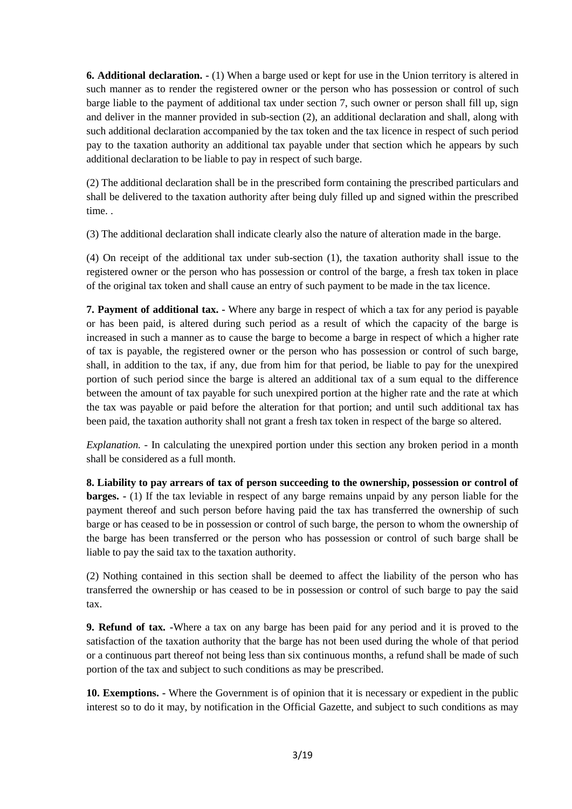**6. Additional declaration. -** (1) When a barge used or kept for use in the Union territory is altered in such manner as to render the registered owner or the person who has possession or control of such barge liable to the payment of additional tax under section 7, such owner or person shall fill up, sign and deliver in the manner provided in sub-section (2), an additional declaration and shall, along with such additional declaration accompanied by the tax token and the tax licence in respect of such period pay to the taxation authority an additional tax payable under that section which he appears by such additional declaration to be liable to pay in respect of such barge.

(2) The additional declaration shall be in the prescribed form containing the prescribed particulars and shall be delivered to the taxation authority after being duly filled up and signed within the prescribed time. .

(3) The additional declaration shall indicate clearly also the nature of alteration made in the barge.

(4) On receipt of the additional tax under sub-section (1), the taxation authority shall issue to the registered owner or the person who has possession or control of the barge, a fresh tax token in place of the original tax token and shall cause an entry of such payment to be made in the tax licence.

**7. Payment of additional tax. -** Where any barge in respect of which a tax for any period is payable or has been paid, is altered during such period as a result of which the capacity of the barge is increased in such a manner as to cause the barge to become a barge in respect of which a higher rate of tax is payable, the registered owner or the person who has possession or control of such barge, shall, in addition to the tax, if any, due from him for that period, be liable to pay for the unexpired portion of such period since the barge is altered an additional tax of a sum equal to the difference between the amount of tax payable for such unexpired portion at the higher rate and the rate at which the tax was payable or paid before the alteration for that portion; and until such additional tax has been paid, the taxation authority shall not grant a fresh tax token in respect of the barge so altered.

*Explanation. -* In calculating the unexpired portion under this section any broken period in a month shall be considered as a full month.

**8. Liability to pay arrears of tax of person succeeding to the ownership, possession or control of barges.**  $\cdot$  (1) If the tax leviable in respect of any barge remains unpaid by any person liable for the payment thereof and such person before having paid the tax has transferred the ownership of such barge or has ceased to be in possession or control of such barge, the person to whom the ownership of the barge has been transferred or the person who has possession or control of such barge shall be liable to pay the said tax to the taxation authority.

(2) Nothing contained in this section shall be deemed to affect the liability of the person who has transferred the ownership or has ceased to be in possession or control of such barge to pay the said tax.

**9. Refund of tax. -**Where a tax on any barge has been paid for any period and it is proved to the satisfaction of the taxation authority that the barge has not been used during the whole of that period or a continuous part thereof not being less than six continuous months, a refund shall be made of such portion of the tax and subject to such conditions as may be prescribed.

**10. Exemptions. -** Where the Government is of opinion that it is necessary or expedient in the public interest so to do it may, by notification in the Official Gazette, and subject to such conditions as may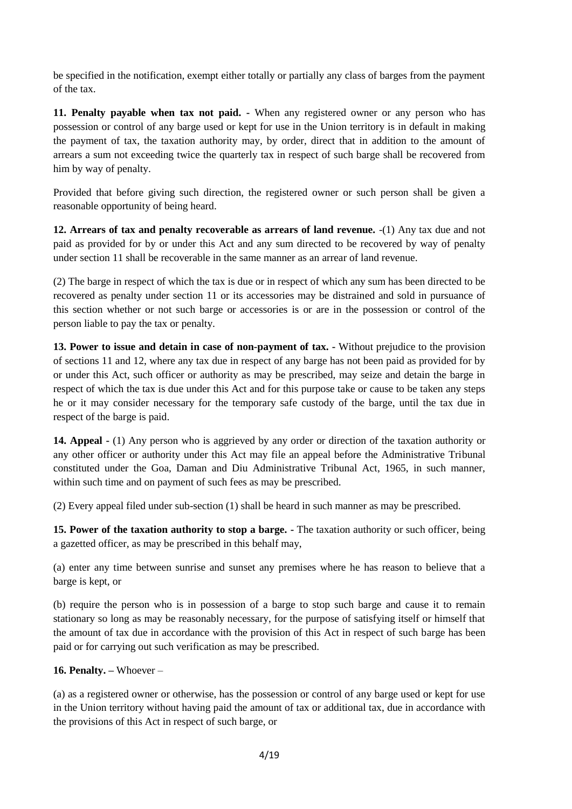be specified in the notification, exempt either totally or partially any class of barges from the payment of the tax.

**11. Penalty payable when tax not paid. -** When any registered owner or any person who has possession or control of any barge used or kept for use in the Union territory is in default in making the payment of tax, the taxation authority may, by order, direct that in addition to the amount of arrears a sum not exceeding twice the quarterly tax in respect of such barge shall be recovered from him by way of penalty.

Provided that before giving such direction, the registered owner or such person shall be given a reasonable opportunity of being heard.

**12. Arrears of tax and penalty recoverable as arrears of land revenue.** -(1) Any tax due and not paid as provided for by or under this Act and any sum directed to be recovered by way of penalty under section 11 shall be recoverable in the same manner as an arrear of land revenue.

(2) The barge in respect of which the tax is due or in respect of which any sum has been directed to be recovered as penalty under section 11 or its accessories may be distrained and sold in pursuance of this section whether or not such barge or accessories is or are in the possession or control of the person liable to pay the tax or penalty.

**13. Power to issue and detain in case of non-payment of tax. -** Without prejudice to the provision of sections 11 and 12, where any tax due in respect of any barge has not been paid as provided for by or under this Act, such officer or authority as may be prescribed, may seize and detain the barge in respect of which the tax is due under this Act and for this purpose take or cause to be taken any steps he or it may consider necessary for the temporary safe custody of the barge, until the tax due in respect of the barge is paid.

**14. Appeal -** (1) Any person who is aggrieved by any order or direction of the taxation authority or any other officer or authority under this Act may file an appeal before the Administrative Tribunal constituted under the Goa, Daman and Diu Administrative Tribunal Act, 1965, in such manner, within such time and on payment of such fees as may be prescribed.

(2) Every appeal filed under sub-section (1) shall be heard in such manner as may be prescribed.

**15. Power of the taxation authority to stop a barge. -** The taxation authority or such officer, being a gazetted officer, as may be prescribed in this behalf may,

(a) enter any time between sunrise and sunset any premises where he has reason to believe that a barge is kept, or

(b) require the person who is in possession of a barge to stop such barge and cause it to remain stationary so long as may be reasonably necessary, for the purpose of satisfying itself or himself that the amount of tax due in accordance with the provision of this Act in respect of such barge has been paid or for carrying out such verification as may be prescribed.

**16. Penalty. –** Whoever –

(a) as a registered owner or otherwise, has the possession or control of any barge used or kept for use in the Union territory without having paid the amount of tax or additional tax, due in accordance with the provisions of this Act in respect of such barge, or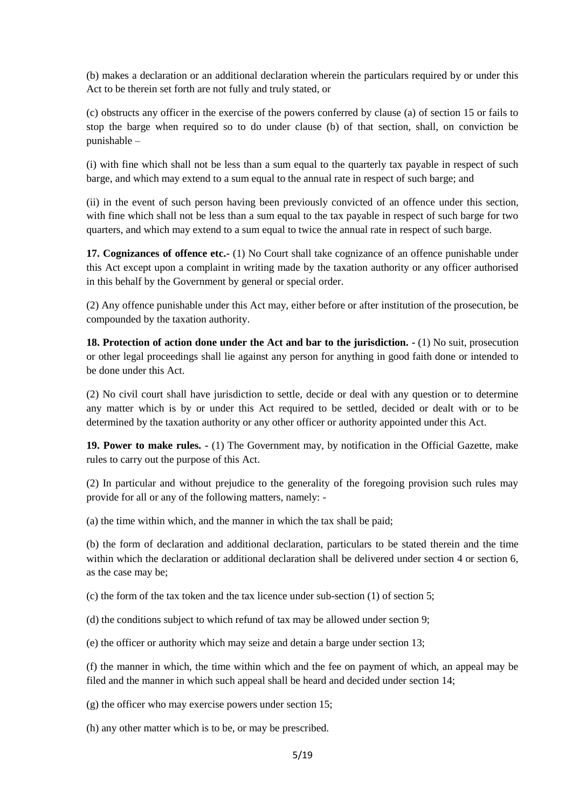(b) makes a declaration or an additional declaration wherein the particulars required by or under this Act to be therein set forth are not fully and truly stated, or

(c) obstructs any officer in the exercise of the powers conferred by clause (a) of section 15 or fails to stop the barge when required so to do under clause (b) of that section, shall, on conviction be punishable –

(i) with fine which shall not be less than a sum equal to the quarterly tax payable in respect of such barge, and which may extend to a sum equal to the annual rate in respect of such barge; and

(ii) in the event of such person having been previously convicted of an offence under this section, with fine which shall not be less than a sum equal to the tax payable in respect of such barge for two quarters, and which may extend to a sum equal to twice the annual rate in respect of such barge.

**17. Cognizances of offence etc.-** (1) No Court shall take cognizance of an offence punishable under this Act except upon a complaint in writing made by the taxation authority or any officer authorised in this behalf by the Government by general or special order.

(2) Any offence punishable under this Act may, either before or after institution of the prosecution, be compounded by the taxation authority.

**18. Protection of action done under the Act and bar to the jurisdiction. -** (1) No suit, prosecution or other legal proceedings shall lie against any person for anything in good faith done or intended to be done under this Act.

(2) No civil court shall have jurisdiction to settle, decide or deal with any question or to determine any matter which is by or under this Act required to be settled, decided or dealt with or to be determined by the taxation authority or any other officer or authority appointed under this Act.

**19. Power to make rules. -** (1) The Government may, by notification in the Official Gazette, make rules to carry out the purpose of this Act.

(2) In particular and without prejudice to the generality of the foregoing provision such rules may provide for all or any of the following matters, namely: -

(a) the time within which, and the manner in which the tax shall be paid;

(b) the form of declaration and additional declaration, particulars to be stated therein and the time within which the declaration or additional declaration shall be delivered under section 4 or section 6, as the case may be;

(c) the form of the tax token and the tax licence under sub-section (1) of section 5;

(d) the conditions subject to which refund of tax may be allowed under section 9;

(e) the officer or authority which may seize and detain a barge under section 13;

(f) the manner in which, the time within which and the fee on payment of which, an appeal may be filed and the manner in which such appeal shall be heard and decided under section 14;

(g) the officer who may exercise powers under section 15;

(h) any other matter which is to be, or may be prescribed.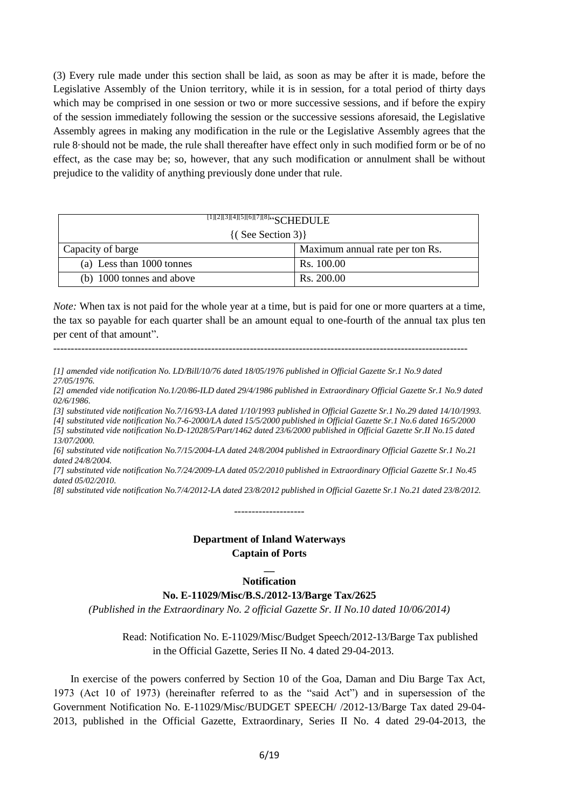(3) Every rule made under this section shall be laid, as soon as may be after it is made, before the Legislative Assembly of the Union territory, while it is in session, for a total period of thirty days which may be comprised in one session or two or more successive sessions, and if before the expiry of the session immediately following the session or the successive sessions aforesaid, the Legislative Assembly agrees in making any modification in the rule or the Legislative Assembly agrees that the rule 8·should not be made, the rule shall thereafter have effect only in such modified form or be of no effect, as the case may be; so, however, that any such modification or annulment shall be without prejudice to the validity of anything previously done under that rule.

| $\frac{1}{[1][2][3][4][5][6][7][8]``}\text{SCHEDULE}$ |                                 |  |
|-------------------------------------------------------|---------------------------------|--|
| $\{(See Section 3)\}\$                                |                                 |  |
| Capacity of barge                                     | Maximum annual rate per ton Rs. |  |
| (a) Less than 1000 tonnes                             | Rs. 100.00                      |  |
| (b) 1000 tonnes and above                             | Rs. 200.00                      |  |

*Note:* When tax is not paid for the whole year at a time, but is paid for one or more quarters at a time, the tax so payable for each quarter shall be an amount equal to one-fourth of the annual tax plus ten per cent of that amount".

----------------------------------------------------------------------------------------------------------------------

*[1] amended vide notification No. LD/Bill/10/76 dated 18/05/1976 published in Official Gazette Sr.1 No.9 dated 27/05/1976.*

*[2] amended vide notification No.1/20/86-ILD dated 29/4/1986 published in Extraordinary Official Gazette Sr.1 No.9 dated 02/6/1986.*

*[3] substituted vide notification No.7/16/93-LA dated 1/10/1993 published in Official Gazette Sr.1 No.29 dated 14/10/1993.*

*[4] substituted vide notification No.7-6-2000/LA dated 15/5/2000 published in Official Gazette Sr.1 No.6 dated 16/5/2000 [5] substituted vide notification No.D-12028/5/Part/1462 dated 23/6/2000 published in Official Gazette Sr.II No.15 dated 13/07/2000.*

*[6] substituted vide notification No.7/15/2004-LA dated 24/8/2004 published in Extraordinary Official Gazette Sr.1 No.21 dated 24/8/2004.*

*[7] substituted vide notification No.7/24/2009-LA dated 05/2/2010 published in Extraordinary Official Gazette Sr.1 No.45 dated 05/02/2010.*

*[8] substituted vide notification No.7/4/2012-LA dated 23/8/2012 published in Official Gazette Sr.1 No.21 dated 23/8/2012.*

--------------------

### **Department of Inland Waterways Captain of Ports**

## **\_\_ Notification**

#### **No. E-11029/Misc/B.S./2012-13/Barge Tax/2625**

*(Published in the Extraordinary No. 2 official Gazette Sr. II No.10 dated 10/06/2014)*

Read: Notification No. E-11029/Misc/Budget Speech/2012-13/Barge Tax published in the Official Gazette, Series II No. 4 dated 29-04-2013.

In exercise of the powers conferred by Section 10 of the Goa, Daman and Diu Barge Tax Act, 1973 (Act 10 of 1973) (hereinafter referred to as the "said Act") and in supersession of the Government Notification No. E-11029/Misc/BUDGET SPEECH/ /2012-13/Barge Tax dated 29-04- 2013, published in the Official Gazette, Extraordinary, Series II No. 4 dated 29-04-2013, the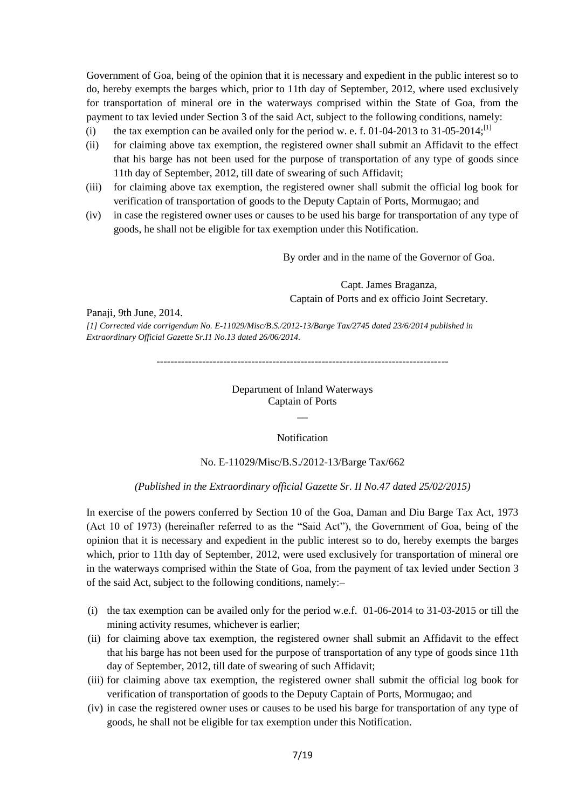Government of Goa, being of the opinion that it is necessary and expedient in the public interest so to do, hereby exempts the barges which, prior to 11th day of September, 2012, where used exclusively for transportation of mineral ore in the waterways comprised within the State of Goa, from the payment to tax levied under Section 3 of the said Act, subject to the following conditions, namely:

- (i) the tax exemption can be availed only for the period w. e. f. 01-04-2013 to 31-05-2014;<sup>[1]</sup>
- (ii) for claiming above tax exemption, the registered owner shall submit an Affidavit to the effect that his barge has not been used for the purpose of transportation of any type of goods since 11th day of September, 2012, till date of swearing of such Affidavit;
- (iii) for claiming above tax exemption, the registered owner shall submit the official log book for verification of transportation of goods to the Deputy Captain of Ports, Mormugao; and
- (iv) in case the registered owner uses or causes to be used his barge for transportation of any type of goods, he shall not be eligible for tax exemption under this Notification.

By order and in the name of the Governor of Goa.

Capt. James Braganza, Captain of Ports and ex officio Joint Secretary.

Panaji, 9th June, 2014.

*[1] Corrected vide corrigendum No. E-11029/Misc/B.S./2012-13/Barge Tax/2745 dated 23/6/2014 published in Extraordinary Official Gazette Sr.I1 No.13 dated 26/06/2014.*

-----------------------------------------------------------------------------------

Department of Inland Waterways Captain of Ports  $\overline{\phantom{a}}$ 

Notification

#### No. E-11029/Misc/B.S./2012-13/Barge Tax/662

*(Published in the Extraordinary official Gazette Sr. II No.47 dated 25/02/2015)*

In exercise of the powers conferred by Section 10 of the Goa, Daman and Diu Barge Tax Act, 1973 (Act 10 of 1973) (hereinafter referred to as the "Said Act"), the Government of Goa, being of the opinion that it is necessary and expedient in the public interest so to do, hereby exempts the barges which, prior to 11th day of September, 2012, were used exclusively for transportation of mineral ore in the waterways comprised within the State of Goa, from the payment of tax levied under Section 3 of the said Act, subject to the following conditions, namely:–

- (i) the tax exemption can be availed only for the period w.e.f. 01-06-2014 to 31-03-2015 or till the mining activity resumes, whichever is earlier;
- (ii) for claiming above tax exemption, the registered owner shall submit an Affidavit to the effect that his barge has not been used for the purpose of transportation of any type of goods since 11th day of September, 2012, till date of swearing of such Affidavit;
- (iii) for claiming above tax exemption, the registered owner shall submit the official log book for verification of transportation of goods to the Deputy Captain of Ports, Mormugao; and
- (iv) in case the registered owner uses or causes to be used his barge for transportation of any type of goods, he shall not be eligible for tax exemption under this Notification.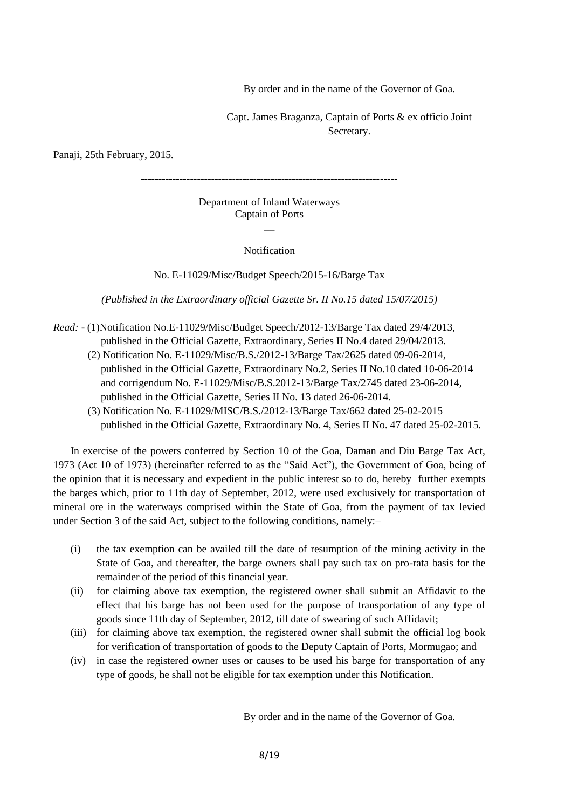By order and in the name of the Governor of Goa.

Capt. James Braganza, Captain of Ports & ex officio Joint Secretary.

Panaji, 25th February, 2015.

-------------------------------------------------------------------------

#### Department of Inland Waterways Captain of Ports  $\overline{\phantom{a}}$

Notification

No. E-11029/Misc/Budget Speech/2015-16/Barge Tax

*(Published in the Extraordinary official Gazette Sr. II No.15 dated 15/07/2015)*

- *Read:*  (1)Notification No.E-11029/Misc/Budget Speech/2012-13/Barge Tax dated 29/4/2013, published in the Official Gazette, Extraordinary, Series II No.4 dated 29/04/2013.
	- (2) Notification No. E-11029/Misc/B.S./2012-13/Barge Tax/2625 dated 09-06-2014, published in the Official Gazette, Extraordinary No.2, Series II No.10 dated 10-06-2014 and corrigendum No. E-11029/Misc/B.S.2012-13/Barge Tax/2745 dated 23-06-2014, published in the Official Gazette, Series II No. 13 dated 26-06-2014.
	- (3) Notification No. E-11029/MISC/B.S./2012-13/Barge Tax/662 dated 25-02-2015 published in the Official Gazette, Extraordinary No. 4, Series II No. 47 dated 25-02-2015.

In exercise of the powers conferred by Section 10 of the Goa, Daman and Diu Barge Tax Act, 1973 (Act 10 of 1973) (hereinafter referred to as the "Said Act"), the Government of Goa, being of the opinion that it is necessary and expedient in the public interest so to do, hereby further exempts the barges which, prior to 11th day of September, 2012, were used exclusively for transportation of mineral ore in the waterways comprised within the State of Goa, from the payment of tax levied under Section 3 of the said Act, subject to the following conditions, namely:–

- (i) the tax exemption can be availed till the date of resumption of the mining activity in the State of Goa, and thereafter, the barge owners shall pay such tax on pro-rata basis for the remainder of the period of this financial year.
- (ii) for claiming above tax exemption, the registered owner shall submit an Affidavit to the effect that his barge has not been used for the purpose of transportation of any type of goods since 11th day of September, 2012, till date of swearing of such Affidavit;
- (iii) for claiming above tax exemption, the registered owner shall submit the official log book for verification of transportation of goods to the Deputy Captain of Ports, Mormugao; and
- (iv) in case the registered owner uses or causes to be used his barge for transportation of any type of goods, he shall not be eligible for tax exemption under this Notification.

By order and in the name of the Governor of Goa.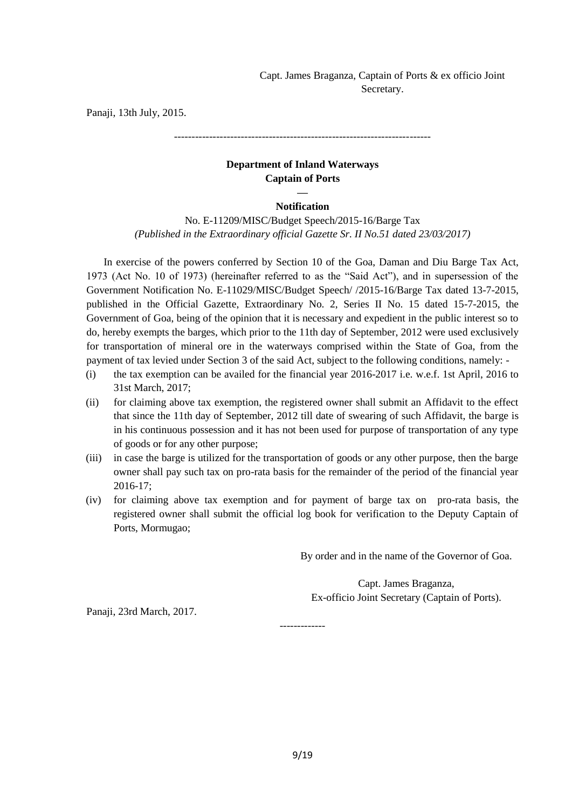Capt. James Braganza, Captain of Ports & ex officio Joint Secretary.

Panaji, 13th July, 2015.

-------------------------------------------------------------------------

## **Department of Inland Waterways Captain of Ports**

## **— Notification**

No. E-11209/MISC/Budget Speech/2015-16/Barge Tax *(Published in the Extraordinary official Gazette Sr. II No.51 dated 23/03/2017)*

In exercise of the powers conferred by Section 10 of the Goa, Daman and Diu Barge Tax Act, 1973 (Act No. 10 of 1973) (hereinafter referred to as the "Said Act"), and in supersession of the Government Notification No. E-11029/MISC/Budget Speech/ /2015-16/Barge Tax dated 13-7-2015, published in the Official Gazette, Extraordinary No. 2, Series II No. 15 dated 15-7-2015, the Government of Goa, being of the opinion that it is necessary and expedient in the public interest so to do, hereby exempts the barges, which prior to the 11th day of September, 2012 were used exclusively for transportation of mineral ore in the waterways comprised within the State of Goa, from the payment of tax levied under Section 3 of the said Act, subject to the following conditions, namely: -

- (i) the tax exemption can be availed for the financial year 2016-2017 i.e. w.e.f. 1st April, 2016 to 31st March, 2017;
- (ii) for claiming above tax exemption, the registered owner shall submit an Affidavit to the effect that since the 11th day of September, 2012 till date of swearing of such Affidavit, the barge is in his continuous possession and it has not been used for purpose of transportation of any type of goods or for any other purpose;
- (iii) in case the barge is utilized for the transportation of goods or any other purpose, then the barge owner shall pay such tax on pro-rata basis for the remainder of the period of the financial year 2016-17;
- (iv) for claiming above tax exemption and for payment of barge tax on pro-rata basis, the registered owner shall submit the official log book for verification to the Deputy Captain of Ports, Mormugao;

-------------

By order and in the name of the Governor of Goa.

Capt. James Braganza, Ex-officio Joint Secretary (Captain of Ports).

Panaji, 23rd March, 2017.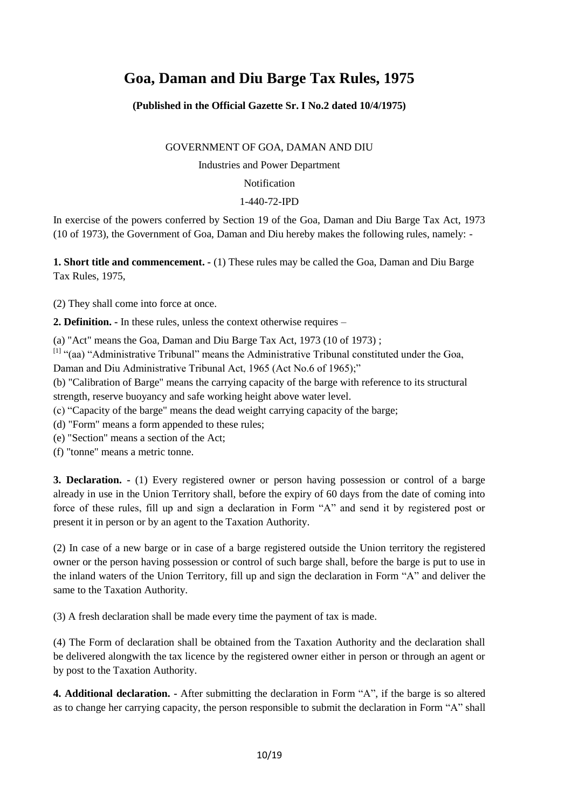# **Goa, Daman and Diu Barge Tax Rules, 1975**

**(Published in the Official Gazette Sr. I No.2 dated 10/4/1975)**

GOVERNMENT OF GOA, DAMAN AND DIU

Industries and Power Department

## Notification

## 1-440-72-IPD

In exercise of the powers conferred by Section 19 of the Goa, Daman and Diu Barge Tax Act, 1973 (10 of 1973), the Government of Goa, Daman and Diu hereby makes the following rules, namely: -

**1. Short title and commencement. -** (1) These rules may be called the Goa, Daman and Diu Barge Tax Rules, 1975,

(2) They shall come into force at once.

**2. Definition. -** In these rules, unless the context otherwise requires –

(a) "Act" means the Goa, Daman and Diu Barge Tax Act, 1973 (10 of 1973) ;

[1] "(aa) "Administrative Tribunal" means the Administrative Tribunal constituted under the Goa, Daman and Diu Administrative Tribunal Act, 1965 (Act No.6 of 1965);"

(b) "Calibration of Barge" means the carrying capacity of the barge with reference to its structural strength, reserve buoyancy and safe working height above water level.

(c) "Capacity of the barge" means the dead weight carrying capacity of the barge;

(d) "Form" means a form appended to these rules;

(e) "Section" means a section of the Act;

(f) "tonne" means a metric tonne.

**3. Declaration. -** (1) Every registered owner or person having possession or control of a barge already in use in the Union Territory shall, before the expiry of 60 days from the date of coming into force of these rules, fill up and sign a declaration in Form "A" and send it by registered post or present it in person or by an agent to the Taxation Authority.

(2) In case of a new barge or in case of a barge registered outside the Union territory the registered owner or the person having possession or control of such barge shall, before the barge is put to use in the inland waters of the Union Territory, fill up and sign the declaration in Form "A" and deliver the same to the Taxation Authority.

(3) A fresh declaration shall be made every time the payment of tax is made.

(4) The Form of declaration shall be obtained from the Taxation Authority and the declaration shall be delivered alongwith the tax licence by the registered owner either in person or through an agent or by post to the Taxation Authority.

**4. Additional declaration. -** After submitting the declaration in Form "A", if the barge is so altered as to change her carrying capacity, the person responsible to submit the declaration in Form "A" shall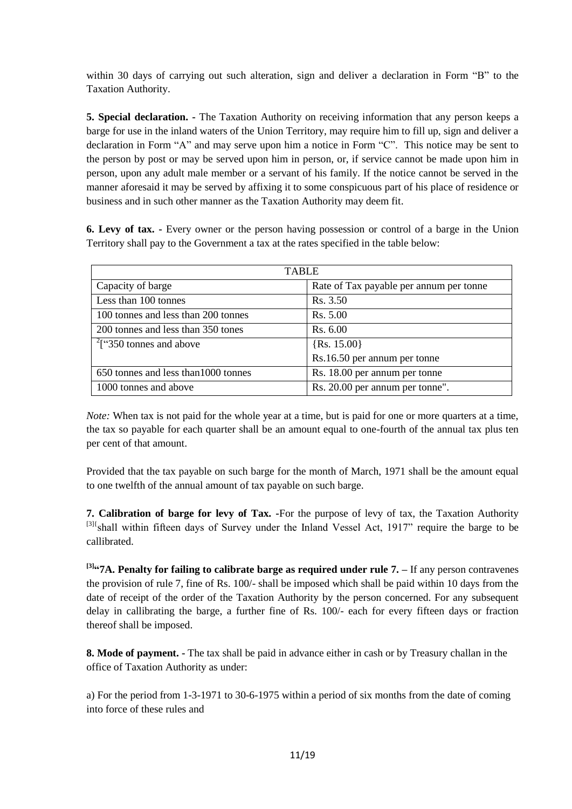within 30 days of carrying out such alteration, sign and deliver a declaration in Form "B" to the Taxation Authority.

**5. Special declaration. -** The Taxation Authority on receiving information that any person keeps a barge for use in the inland waters of the Union Territory, may require him to fill up, sign and deliver a declaration in Form "A" and may serve upon him a notice in Form "C". This notice may be sent to the person by post or may be served upon him in person, or, if service cannot be made upon him in person, upon any adult male member or a servant of his family. If the notice cannot be served in the manner aforesaid it may be served by affixing it to some conspicuous part of his place of residence or business and in such other manner as the Taxation Authority may deem fit.

**6. Levy of tax. -** Every owner or the person having possession or control of a barge in the Union Territory shall pay to the Government a tax at the rates specified in the table below:

| <b>TABLE</b>                         |                                         |  |
|--------------------------------------|-----------------------------------------|--|
| Capacity of barge                    | Rate of Tax payable per annum per tonne |  |
| Less than 100 tonnes                 | Rs. 3.50                                |  |
| 100 tonnes and less than 200 tonnes  | Rs. 5.00                                |  |
| 200 tonnes and less than 350 tones   | Rs. 6.00                                |  |
| $2$ ["350 tonnes and above           | $\{Rs. 15.00\}$                         |  |
|                                      | Rs.16.50 per annum per tonne            |  |
| 650 tonnes and less than 1000 tonnes | Rs. 18.00 per annum per tonne           |  |
| 1000 tonnes and above                | Rs. 20.00 per annum per tonne".         |  |

*Note:* When tax is not paid for the whole year at a time, but is paid for one or more quarters at a time, the tax so payable for each quarter shall be an amount equal to one-fourth of the annual tax plus ten per cent of that amount.

Provided that the tax payable on such barge for the month of March, 1971 shall be the amount equal to one twelfth of the annual amount of tax payable on such barge.

**7. Calibration of barge for levy of Tax. -**For the purpose of levy of tax, the Taxation Authority [3]{shall within fifteen days of Survey under the Inland Vessel Act, 1917" require the barge to be callibrated.

**[3] ―7A. Penalty for failing to calibrate barge as required under rule 7. –** If any person contravenes the provision of rule 7, fine of Rs. 100/- shall be imposed which shall be paid within 10 days from the date of receipt of the order of the Taxation Authority by the person concerned. For any subsequent delay in callibrating the barge, a further fine of Rs. 100/- each for every fifteen days or fraction thereof shall be imposed.

**8. Mode of payment. -** The tax shall be paid in advance either in cash or by Treasury challan in the office of Taxation Authority as under:

a) For the period from 1-3-1971 to 30-6-1975 within a period of six months from the date of coming into force of these rules and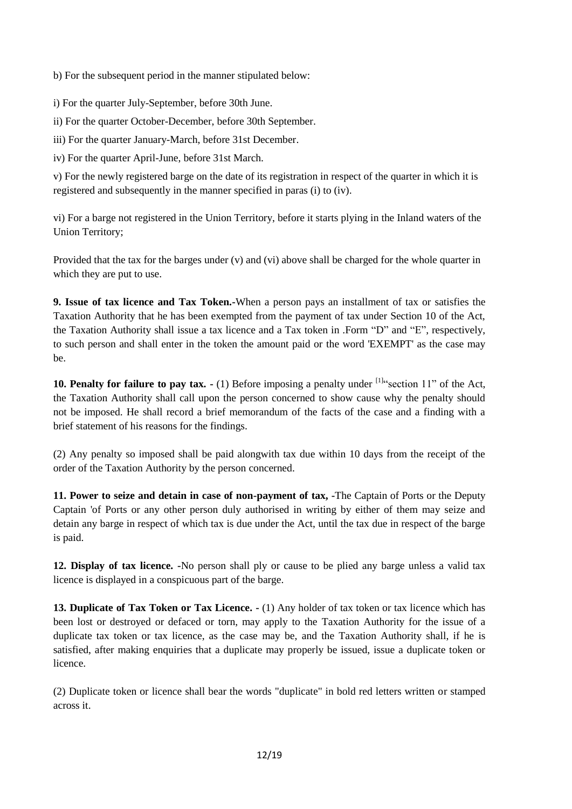b) For the subsequent period in the manner stipulated below:

i) For the quarter July-September, before 30th June.

ii) For the quarter October-December, before 30th September.

iii) For the quarter January-March, before 31st December.

iv) For the quarter April-June, before 31st March.

v) For the newly registered barge on the date of its registration in respect of the quarter in which it is registered and subsequently in the manner specified in paras (i) to (iv).

vi) For a barge not registered in the Union Territory, before it starts plying in the Inland waters of the Union Territory;

Provided that the tax for the barges under (v) and (vi) above shall be charged for the whole quarter in which they are put to use.

**9. Issue of tax licence and Tax Token.-**When a person pays an installment of tax or satisfies the Taxation Authority that he has been exempted from the payment of tax under Section 10 of the Act, the Taxation Authority shall issue a tax licence and a Tax token in .Form "D" and "E", respectively, to such person and shall enter in the token the amount paid or the word 'EXEMPT' as the case may be.

**10. Penalty for failure to pay tax.**  $\cdot$  (1) Before imposing a penalty under  $\frac{11}{11}$  section 11" of the Act, the Taxation Authority shall call upon the person concerned to show cause why the penalty should not be imposed. He shall record a brief memorandum of the facts of the case and a finding with a brief statement of his reasons for the findings.

(2) Any penalty so imposed shall be paid alongwith tax due within 10 days from the receipt of the order of the Taxation Authority by the person concerned.

**11. Power to seize and detain in case of non-payment of tax, -**The Captain of Ports or the Deputy Captain 'of Ports or any other person duly authorised in writing by either of them may seize and detain any barge in respect of which tax is due under the Act, until the tax due in respect of the barge is paid.

**12. Display of tax licence. -**No person shall ply or cause to be plied any barge unless a valid tax licence is displayed in a conspicuous part of the barge.

**13. Duplicate of Tax Token or Tax Licence. -** (1) Any holder of tax token or tax licence which has been lost or destroyed or defaced or torn, may apply to the Taxation Authority for the issue of a duplicate tax token or tax licence, as the case may be, and the Taxation Authority shall, if he is satisfied, after making enquiries that a duplicate may properly be issued, issue a duplicate token or licence.

(2) Duplicate token or licence shall bear the words "duplicate" in bold red letters written or stamped across it.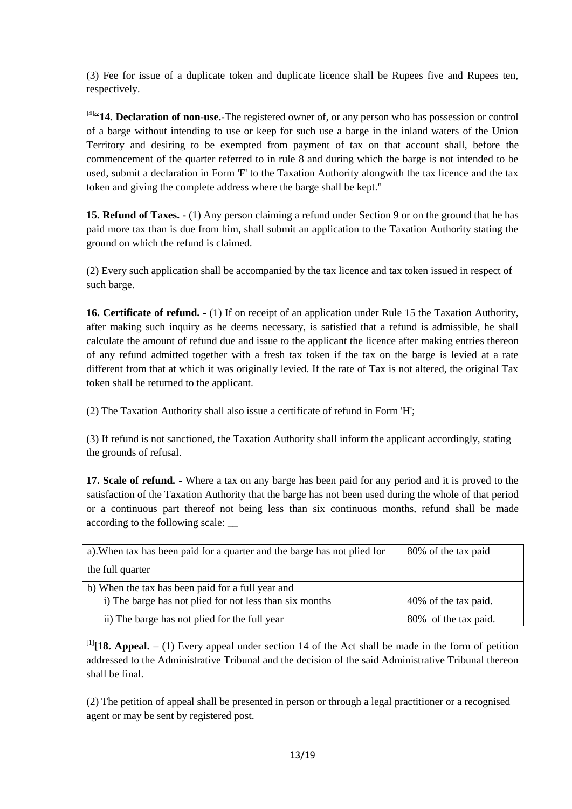(3) Fee for issue of a duplicate token and duplicate licence shall be Rupees five and Rupees ten, respectively.

**[4] ―14. Declaration of non-use.-**The registered owner of, or any person who has possession or control of a barge without intending to use or keep for such use a barge in the inland waters of the Union Territory and desiring to be exempted from payment of tax on that account shall, before the commencement of the quarter referred to in rule 8 and during which the barge is not intended to be used, submit a declaration in Form 'F' to the Taxation Authority alongwith the tax licence and the tax token and giving the complete address where the barge shall be kept."

**15. Refund of Taxes. -** (1) Any person claiming a refund under Section 9 or on the ground that he has paid more tax than is due from him, shall submit an application to the Taxation Authority stating the ground on which the refund is claimed.

(2) Every such application shall be accompanied by the tax licence and tax token issued in respect of such barge.

**16. Certificate of refund. -** (1) If on receipt of an application under Rule 15 the Taxation Authority, after making such inquiry as he deems necessary, is satisfied that a refund is admissible, he shall calculate the amount of refund due and issue to the applicant the licence after making entries thereon of any refund admitted together with a fresh tax token if the tax on the barge is levied at a rate different from that at which it was originally levied. If the rate of Tax is not altered, the original Tax token shall be returned to the applicant.

(2) The Taxation Authority shall also issue a certificate of refund in Form 'H';

(3) If refund is not sanctioned, the Taxation Authority shall inform the applicant accordingly, stating the grounds of refusal.

**17. Scale of refund. -** Where a tax on any barge has been paid for any period and it is proved to the satisfaction of the Taxation Authority that the barge has not been used during the whole of that period or a continuous part thereof not being less than six continuous months, refund shall be made according to the following scale: \_\_

| a). When tax has been paid for a quarter and the barge has not plied for | 80% of the tax paid  |  |
|--------------------------------------------------------------------------|----------------------|--|
| the full quarter                                                         |                      |  |
| b) When the tax has been paid for a full year and                        |                      |  |
| i) The barge has not plied for not less than six months                  | 40% of the tax paid. |  |
| ii) The barge has not plied for the full year                            | 80% of the tax paid. |  |

[1] **[18. Appeal. –** (1) Every appeal under section 14 of the Act shall be made in the form of petition addressed to the Administrative Tribunal and the decision of the said Administrative Tribunal thereon shall be final.

(2) The petition of appeal shall be presented in person or through a legal practitioner or a recognised agent or may be sent by registered post.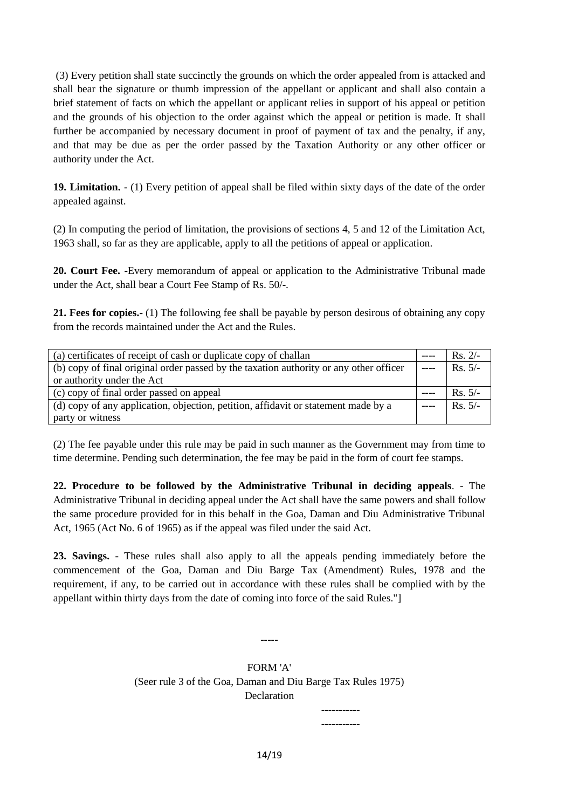(3) Every petition shall state succinctly the grounds on which the order appealed from is attacked and shall bear the signature or thumb impression of the appellant or applicant and shall also contain a brief statement of facts on which the appellant or applicant relies in support of his appeal or petition and the grounds of his objection to the order against which the appeal or petition is made. It shall further be accompanied by necessary document in proof of payment of tax and the penalty, if any, and that may be due as per the order passed by the Taxation Authority or any other officer or authority under the Act.

**19. Limitation. -** (1) Every petition of appeal shall be filed within sixty days of the date of the order appealed against.

(2) In computing the period of limitation, the provisions of sections 4, 5 and 12 of the Limitation Act, 1963 shall, so far as they are applicable, apply to all the petitions of appeal or application.

**20. Court Fee. -**Every memorandum of appeal or application to the Administrative Tribunal made under the Act, shall bear a Court Fee Stamp of Rs. 50/-.

**21. Fees for copies.-** (1) The following fee shall be payable by person desirous of obtaining any copy from the records maintained under the Act and the Rules.

| (a) certificates of receipt of cash or duplicate copy of challan                       |  | $Rs. 2/-$ |
|----------------------------------------------------------------------------------------|--|-----------|
| (b) copy of final original order passed by the taxation authority or any other officer |  | $Rs. 5/-$ |
| or authority under the Act                                                             |  |           |
| (c) copy of final order passed on appeal                                               |  | $Rs. 5/-$ |
| (d) copy of any application, objection, petition, affidavit or statement made by a     |  | $Rs. 5/-$ |
| party or witness                                                                       |  |           |

(2) The fee payable under this rule may be paid in such manner as the Government may from time to time determine. Pending such determination, the fee may be paid in the form of court fee stamps.

**22. Procedure to be followed by the Administrative Tribunal in deciding appeals**. - The Administrative Tribunal in deciding appeal under the Act shall have the same powers and shall follow the same procedure provided for in this behalf in the Goa, Daman and Diu Administrative Tribunal Act, 1965 (Act No. 6 of 1965) as if the appeal was filed under the said Act.

**23. Savings. -** These rules shall also apply to all the appeals pending immediately before the commencement of the Goa, Daman and Diu Barge Tax (Amendment) Rules, 1978 and the requirement, if any, to be carried out in accordance with these rules shall be complied with by the appellant within thirty days from the date of coming into force of the said Rules."]

> FORM 'A' (Seer rule 3 of the Goa, Daman and Diu Barge Tax Rules 1975) **Declaration**

> > ----------- -----------

-----

14/19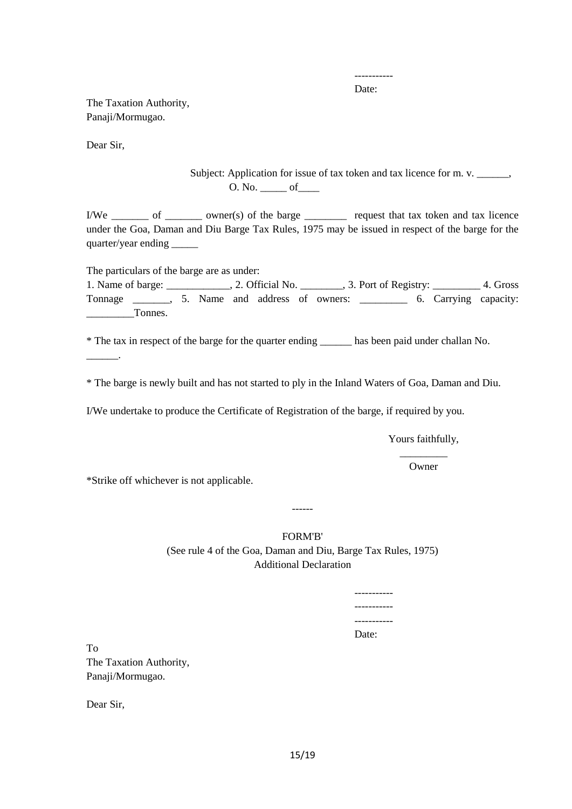----------- Date:

The Taxation Authority, Panaji/Mormugao.

Dear Sir,

Subject: Application for issue of tax token and tax licence for m. v. \_\_\_\_\_\_, O. No. \_\_\_\_\_ of\_\_\_\_

I/We of owner(s) of the barge request that tax token and tax licence under the Goa, Daman and Diu Barge Tax Rules, 1975 may be issued in respect of the barge for the quarter/year ending \_\_\_\_\_\_\_

The particulars of the barge are as under:

1. Name of barge: \_\_\_\_\_\_\_\_\_\_\_\_, 2. Official No. \_\_\_\_\_\_\_\_, 3. Port of Registry: \_\_\_\_\_\_\_\_\_ 4. Gross Tonnage \_\_\_\_\_\_\_, 5. Name and address of owners: \_\_\_\_\_\_\_\_\_ 6. Carrying capacity: Tonnes.

\* The tax in respect of the barge for the quarter ending \_\_\_\_\_\_ has been paid under challan No.

\_\_\_\_\_\_.

\* The barge is newly built and has not started to ply in the Inland Waters of Goa, Daman and Diu.

I/We undertake to produce the Certificate of Registration of the barge, if required by you.

Yours faithfully, \_\_\_\_\_\_\_\_\_

Owner

\*Strike off whichever is not applicable.

------

FORM'B' (See rule 4 of the Goa, Daman and Diu, Barge Tax Rules, 1975) Additional Declaration

> ----------- ----------- ----------- Date:

To The Taxation Authority, Panaji/Mormugao.

Dear Sir,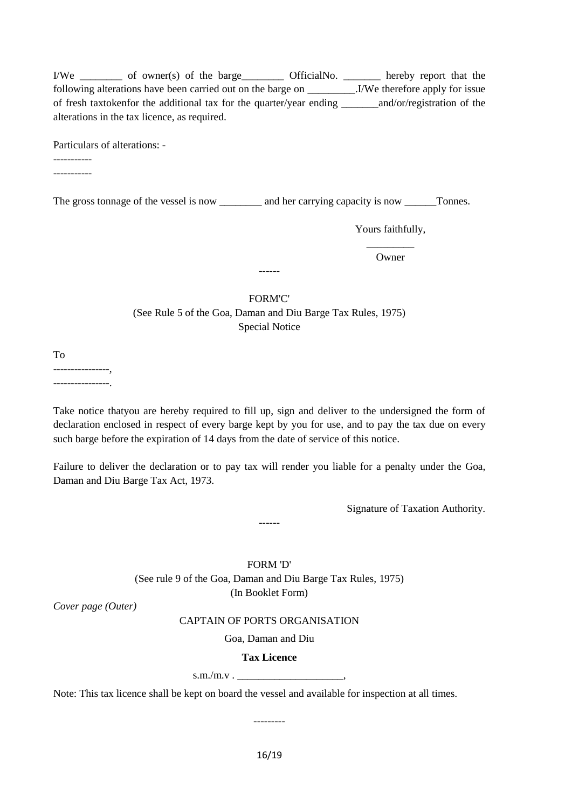I/We \_\_\_\_\_\_\_\_ of owner(s) of the barge\_\_\_\_\_\_\_\_ OfficialNo. \_\_\_\_\_\_\_ hereby report that the following alterations have been carried out on the barge on \_\_\_\_\_\_\_\_\_.I/We therefore apply for issue of fresh taxtokenfor the additional tax for the quarter/year ending \_\_\_\_\_\_\_and/or/registration of the alterations in the tax licence, as required.

Particulars of alterations: -

-----------

-----------

The gross tonnage of the vessel is now \_\_\_\_\_\_\_\_\_ and her carrying capacity is now \_\_\_\_\_\_Tonnes.

Yours faithfully,

 $\overline{\phantom{a}}$  ,  $\overline{\phantom{a}}$  ,  $\overline{\phantom{a}}$  ,  $\overline{\phantom{a}}$  ,  $\overline{\phantom{a}}$  ,  $\overline{\phantom{a}}$  ,  $\overline{\phantom{a}}$  ,  $\overline{\phantom{a}}$  ,  $\overline{\phantom{a}}$  ,  $\overline{\phantom{a}}$  ,  $\overline{\phantom{a}}$  ,  $\overline{\phantom{a}}$  ,  $\overline{\phantom{a}}$  ,  $\overline{\phantom{a}}$  ,  $\overline{\phantom{a}}$  ,  $\overline{\phantom{a}}$ Owner

#### FORM'C'

------

(See Rule 5 of the Goa, Daman and Diu Barge Tax Rules, 1975) Special Notice

To

----------------, ----------------.

Take notice thatyou are hereby required to fill up, sign and deliver to the undersigned the form of declaration enclosed in respect of every barge kept by you for use, and to pay the tax due on every such barge before the expiration of 14 days from the date of service of this notice.

Failure to deliver the declaration or to pay tax will render you liable for a penalty under the Goa, Daman and Diu Barge Tax Act, 1973.

------

Signature of Taxation Authority.

FORM 'D' (See rule 9 of the Goa, Daman and Diu Barge Tax Rules, 1975) (In Booklet Form)

*Cover page (Outer)* 

#### CAPTAIN OF PORTS ORGANISATION

Goa, Daman and Diu

#### **Tax Licence**

 $s.m./m.v$ .

Note: This tax licence shall be kept on board the vessel and available for inspection at all times.

*---------*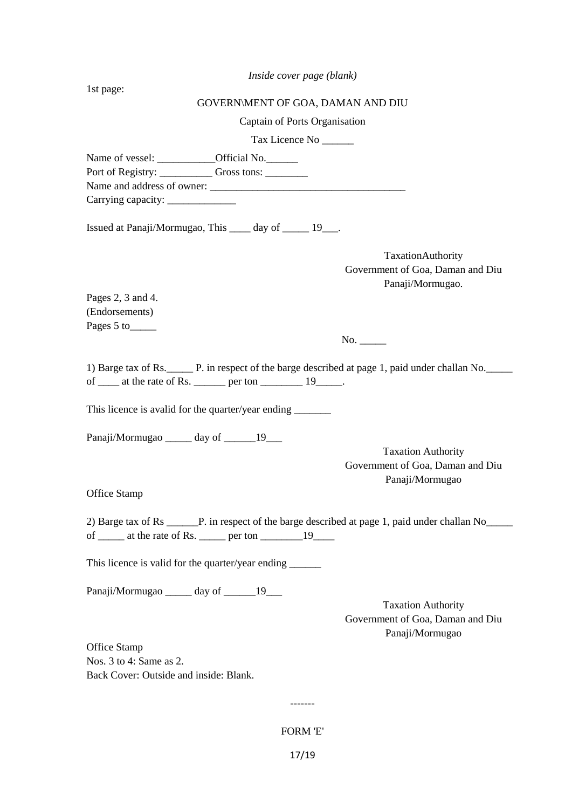*Inside cover page (blank)*

1st page: GOVERN\MENT OF GOA, DAMAN AND DIU Captain of Ports Organisation Tax Licence No \_\_\_\_\_\_ Name of vessel: \_\_\_\_\_\_\_\_\_\_\_\_Official No.\_\_\_\_\_\_\_ Port of Registry: Gross tons: Name and address of owner: Carrying capacity: \_\_\_\_\_\_\_\_\_\_\_\_\_ Issued at Panaji/Mormugao, This \_\_\_\_ day of \_\_\_\_\_ 19\_\_\_. TaxationAuthority Government of Goa, Daman and Diu Panaji/Mormugao. Pages 2, 3 and 4. (Endorsements) Pages 5 to No. 1) Barge tax of Rs.\_\_\_\_\_ P. in respect of the barge described at page 1, paid under challan No.\_\_\_\_\_ of  $\frac{19}{2}$  at the rate of Rs.  $\frac{19}{2}$ This licence is avalid for the quarter/year ending Panaji/Mormugao day of 19 Taxation Authority Government of Goa, Daman and Diu Panaji/Mormugao Office Stamp 2) Barge tax of Rs \_\_\_\_\_\_P. in respect of the barge described at page 1, paid under challan No\_\_\_\_\_ of  $\_\_\_\$  at the rate of Rs.  $\_\_\_\$ per ton  $\_\_\_\_\$ 19 This licence is valid for the quarter/year ending \_\_\_\_\_\_\_\_\_ Panaji/Mormugao \_\_\_\_\_ day of \_\_\_\_\_\_19\_\_\_ Taxation Authority Government of Goa, Daman and Diu Panaji/Mormugao Office Stamp Nos. 3 to 4: Same as 2. Back Cover: Outside and inside: Blank. ------- FORM 'E'

17/19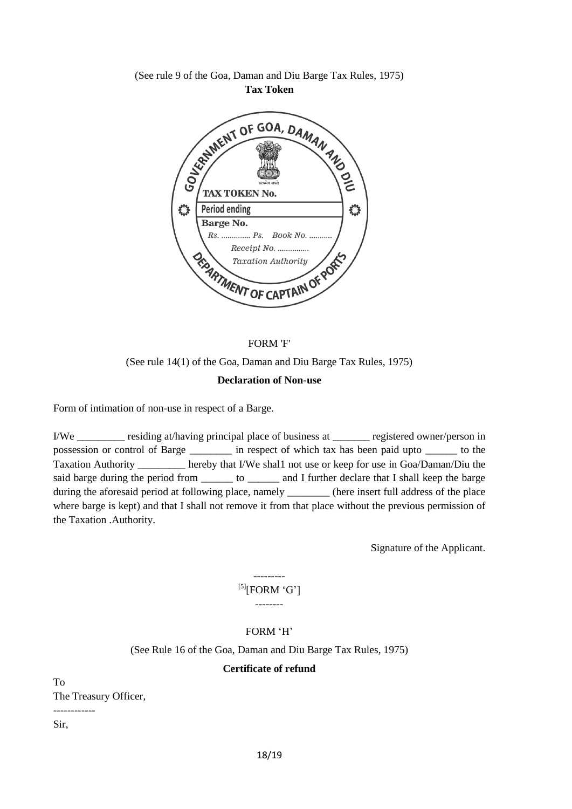### (See rule 9 of the Goa, Daman and Diu Barge Tax Rules, 1975) **Tax Token**



# FORM 'F' (See rule 14(1) of the Goa, Daman and Diu Barge Tax Rules, 1975) **Declaration of Non-use**

Form of intimation of non-use in respect of a Barge.

I/We residing at/having principal place of business at registered owner/person in possession or control of Barge in respect of which tax has been paid upto to the Taxation Authority \_\_\_\_\_\_\_\_\_ hereby that I/We shal1 not use or keep for use in Goa/Daman/Diu the said barge during the period from \_\_\_\_\_\_\_\_ to \_\_\_\_\_\_\_ and I further declare that I shall keep the barge during the aforesaid period at following place, namely strategies (here insert full address of the place where barge is kept) and that I shall not remove it from that place without the previous permission of the Taxation .Authority.

Signature of the Applicant.

## ---------  $^{[5]}$ [FORM 'G'] --------

## FORM "H"

(See Rule 16 of the Goa, Daman and Diu Barge Tax Rules, 1975)

## **Certificate of refund**

To The Treasury Officer,

Sir,

------------